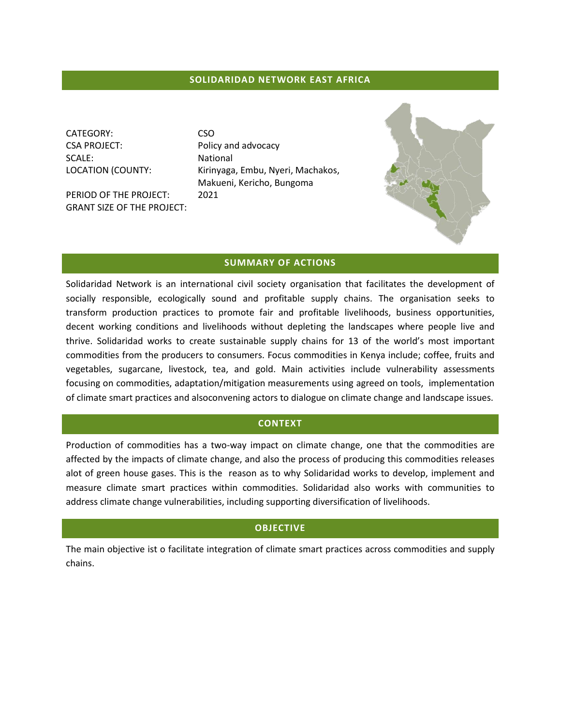# **SOLIDARIDAD NETWORK EAST AFRICA**

CATEGORY: CSO CSA PROJECT: Policy and advocacy SCALE: National

PERIOD OF THE PROJECT: 2021 GRANT SIZE OF THE PROJECT:

LOCATION (COUNTY: Kirinyaga, Embu, Nyeri, Machakos, Makueni, Kericho, Bungoma



### **SUMMARY OF ACTIONS**

Solidaridad Network is an international civil society organisation that facilitates the development of socially responsible, ecologically sound and profitable supply chains. The organisation seeks to transform production practices to promote fair and profitable livelihoods, business opportunities, decent working conditions and livelihoods without depleting the landscapes where people live and thrive. Solidaridad works to create sustainable supply chains for 13 of the world's most important commodities from the producers to consumers. Focus commodities in Kenya include; coffee, fruits and vegetables, sugarcane, livestock, tea, and gold. Main activities include vulnerability assessments focusing on commodities, adaptation/mitigation measurements using agreed on tools, implementation of climate smart practices and alsoconvening actors to dialogue on climate change and landscape issues.

### **CONTEXT**

Production of commodities has a two-way impact on climate change, one that the commodities are affected by the impacts of climate change, and also the process of producing this commodities releases alot of green house gases. This is the reason as to why Solidaridad works to develop, implement and measure climate smart practices within commodities. Solidaridad also works with communities to address climate change vulnerabilities, including supporting diversification of livelihoods.

### **OBJECTIVE**

The main objective ist o facilitate integration of climate smart practices across commodities and supply chains.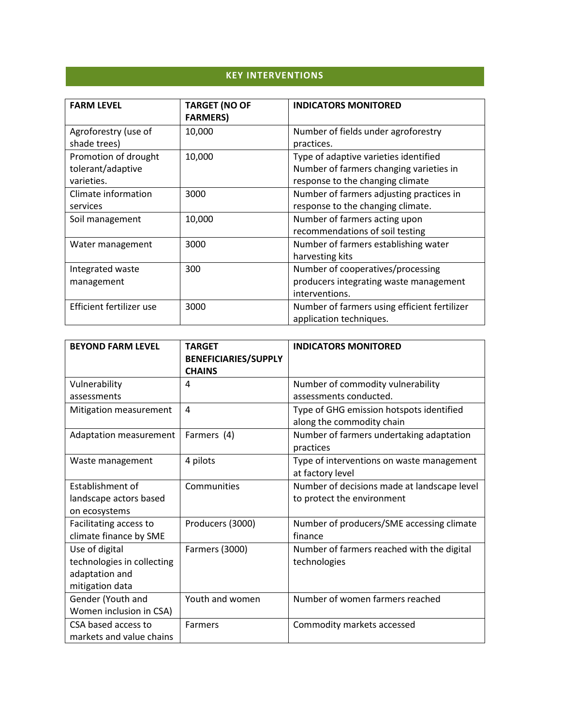# **KEY INTERVENTIONS**

| <b>FARM LEVEL</b>        | <b>TARGET (NO OF</b><br><b>FARMERS)</b> | <b>INDICATORS MONITORED</b>                  |
|--------------------------|-----------------------------------------|----------------------------------------------|
| Agroforestry (use of     | 10,000                                  | Number of fields under agroforestry          |
| shade trees)             |                                         | practices.                                   |
| Promotion of drought     | 10,000                                  | Type of adaptive varieties identified        |
| tolerant/adaptive        |                                         | Number of farmers changing varieties in      |
| varieties.               |                                         | response to the changing climate             |
| Climate information      | 3000                                    | Number of farmers adjusting practices in     |
| services                 |                                         | response to the changing climate.            |
| Soil management          | 10,000                                  | Number of farmers acting upon                |
|                          |                                         | recommendations of soil testing              |
| Water management         | 3000                                    | Number of farmers establishing water         |
|                          |                                         | harvesting kits                              |
| Integrated waste         | 300                                     | Number of cooperatives/processing            |
| management               |                                         | producers integrating waste management       |
|                          |                                         | interventions.                               |
| Efficient fertilizer use | 3000                                    | Number of farmers using efficient fertilizer |
|                          |                                         | application techniques.                      |

| <b>BEYOND FARM LEVEL</b>                        | <b>TARGET</b><br><b>BENEFICIARIES/SUPPLY</b><br><b>CHAINS</b> | <b>INDICATORS MONITORED</b>                 |
|-------------------------------------------------|---------------------------------------------------------------|---------------------------------------------|
| Vulnerability                                   | 4                                                             | Number of commodity vulnerability           |
| assessments                                     |                                                               | assessments conducted.                      |
| Mitigation measurement                          | 4                                                             | Type of GHG emission hotspots identified    |
|                                                 |                                                               | along the commodity chain                   |
| Adaptation measurement                          | Farmers (4)                                                   | Number of farmers undertaking adaptation    |
|                                                 |                                                               | practices                                   |
| Waste management                                | 4 pilots                                                      | Type of interventions on waste management   |
|                                                 |                                                               | at factory level                            |
| Establishment of                                | Communities                                                   | Number of decisions made at landscape level |
| landscape actors based                          |                                                               | to protect the environment                  |
| on ecosystems                                   |                                                               |                                             |
| Facilitating access to                          | Producers (3000)                                              | Number of producers/SME accessing climate   |
| climate finance by SME                          |                                                               | finance                                     |
| Use of digital                                  | Farmers (3000)                                                | Number of farmers reached with the digital  |
| technologies in collecting                      |                                                               | technologies                                |
| adaptation and                                  |                                                               |                                             |
| mitigation data                                 |                                                               |                                             |
| Gender (Youth and                               | Youth and women                                               | Number of women farmers reached             |
| Women inclusion in CSA)                         |                                                               |                                             |
| CSA based access to<br>markets and value chains | <b>Farmers</b>                                                | Commodity markets accessed                  |